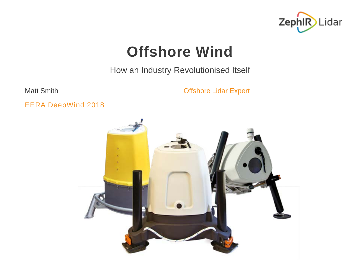

#### **Offshore Wind**

How an Industry Revolutionised Itself

Matt Smith **Matt Smith Matt Smith Offshore Lidar Expert** 

EERA DeepWind 2018

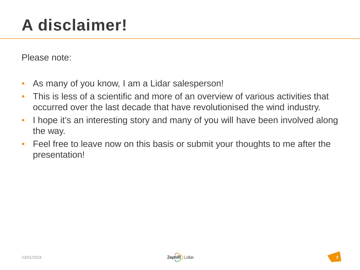## **A disclaimer!**

Please note:

- As many of you know, I am a Lidar salesperson!
- This is less of a scientific and more of an overview of various activities that occurred over the last decade that have revolutionised the wind industry.
- I hope it's an interesting story and many of you will have been involved along the way.
- Feel free to leave now on this basis or submit your thoughts to me after the presentation!

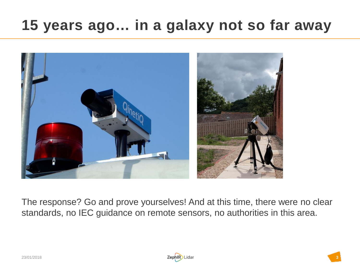#### **15 years ago… in a galaxy not so far away**



The response? Go and prove yourselves! And at this time, there were no clear standards, no IEC guidance on remote sensors, no authorities in this area.

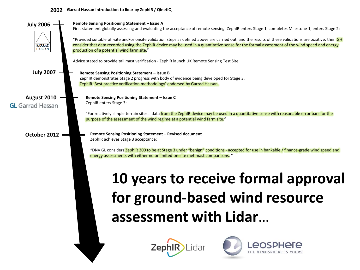#### **2002 Garrad Hassan introduction to lidar by ZephIR / QinetiQ**

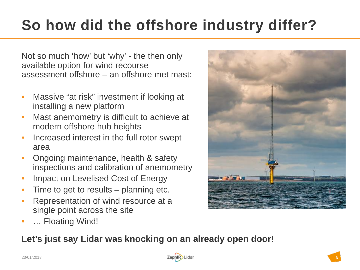### **So how did the offshore industry differ?**

Not so much 'how' but 'why' - the then only available option for wind recourse assessment offshore – an offshore met mast:

- Massive "at risk" investment if looking at installing a new platform
- Mast anemometry is difficult to achieve at modern offshore hub heights
- Increased interest in the full rotor swept area
- Ongoing maintenance, health & safety inspections and calibration of anemometry
- Impact on Levelised Cost of Energy
- Time to get to results planning etc.
- Representation of wind resource at a single point across the site
- ... Floating Wind!

#### **Let's just say Lidar was knocking on an already open door!**

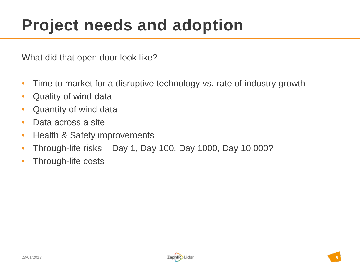### **Project needs and adoption**

What did that open door look like?

- Time to market for a disruptive technology vs. rate of industry growth
- Quality of wind data
- Quantity of wind data
- Data across a site
- Health & Safety improvements
- Through-life risks Day 1, Day 100, Day 1000, Day 10,000?
- Through-life costs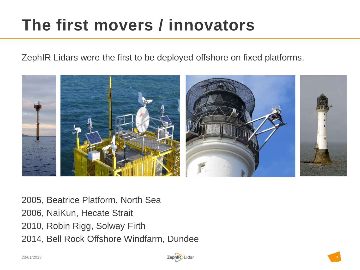## **The first movers / innovators**

ZephIR Lidars were the first to be deployed offshore on fixed platforms.

![](_page_6_Picture_2.jpeg)

2005, Beatrice Platform, North Sea 2006, NaiKun, Hecate Strait 2010, Robin Rigg, Solway Firth 2014, Bell Rock Offshore Windfarm, Dundee

![](_page_6_Picture_5.jpeg)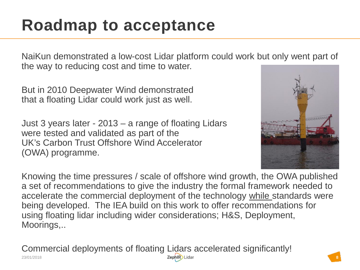### **Roadmap to acceptance**

NaiKun demonstrated a low-cost Lidar platform could work but only went part of the way to reducing cost and time to water.

But in 2010 Deepwater Wind demonstrated that a floating Lidar could work just as well.

Just 3 years later - 2013 – a range of floating Lidars were tested and validated as part of the UK's Carbon Trust Offshore Wind Accelerator (OWA) programme.

![](_page_7_Picture_4.jpeg)

Knowing the time pressures / scale of offshore wind growth, the OWA published a set of recommendations to give the industry the formal framework needed to accelerate the commercial deployment of the technology while standards were being developed. The IEA build on this work to offer recommendations for using floating lidar including wider considerations; H&S, Deployment, Moorings,..

Commercial deployments of floating Lidars accelerated significantly!

![](_page_7_Picture_8.jpeg)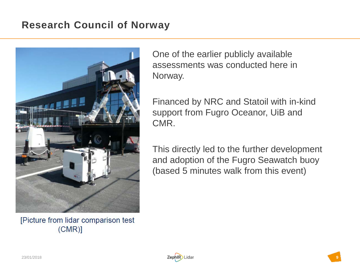#### **Research Council of Norway**

![](_page_8_Picture_1.jpeg)

[Picture from lidar comparison test  $(CMR)$ 

One of the earlier publicly available assessments was conducted here in Norway.

Financed by NRC and Statoil with in-kind support from Fugro Oceanor, UiB and CMR.

This directly led to the further development and adoption of the Fugro Seawatch buoy (based 5 minutes walk from this event)

![](_page_8_Picture_7.jpeg)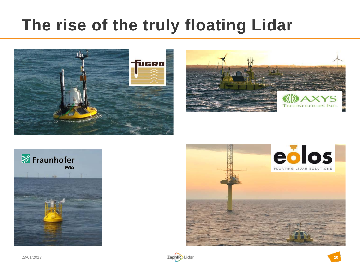### **The rise of the truly floating Lidar**

![](_page_9_Picture_1.jpeg)

![](_page_9_Picture_2.jpeg)

![](_page_9_Picture_3.jpeg)

![](_page_9_Picture_4.jpeg)

![](_page_9_Picture_5.jpeg)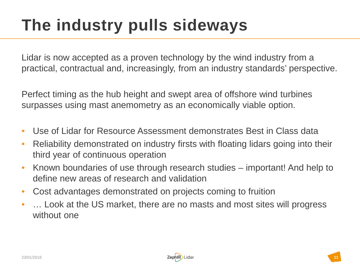## **The industry pulls sideways**

Lidar is now accepted as a proven technology by the wind industry from a practical, contractual and, increasingly, from an industry standards' perspective.

Perfect timing as the hub height and swept area of offshore wind turbines surpasses using mast anemometry as an economically viable option.

- Use of Lidar for Resource Assessment demonstrates Best in Class data
- Reliability demonstrated on industry firsts with floating lidars going into their third year of continuous operation
- Known boundaries of use through research studies important! And help to define new areas of research and validation
- Cost advantages demonstrated on projects coming to fruition
- ... Look at the US market, there are no masts and most sites will progress without one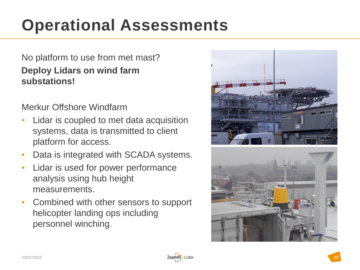## **Operational Assessments**

#### No platform to use from met mast? **Deploy Lidars on wind farm substations!**

Merkur Offshore Windfarm

- Lidar is coupled to met data acquisition systems, data is transmitted to client platform for access.
- Data is integrated with SCADA systems.
- Lidar is used for power performance analysis using hub height measurements.
- Combined with other sensors to support helicopter landing ops including personnel winching.

![](_page_11_Picture_7.jpeg)

![](_page_11_Picture_8.jpeg)

![](_page_11_Picture_9.jpeg)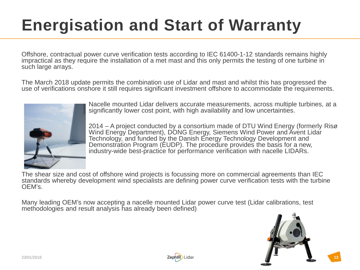# **Energisation and Start of Warranty**

Offshore, contractual power curve verification tests according to IEC 61400-1-12 standards remains highly impractical as they require the installation of a met mast and this only permits the testing of one turbine in such large arrays.

The March 2018 update permits the combination use of Lidar and mast and whilst this has progressed the use of verifications onshore it still requires significant investment offshore to accommodate the requirements.

![](_page_12_Picture_3.jpeg)

Nacelle mounted Lidar delivers accurate measurements, across multiple turbines, at a significantly lower cost point, with high availability and low uncertainties.

2014 – A project conducted by a consortium made of DTU Wind Energy (formerly Risø Wind Energy Department), DONG Energy, Siemens Wind Power and Avent Lidar Technology, and funded by the Danish Energy Technology Development and Demonstration Program (EUDP). The procedure provides the basis for a new, industry-wide best-practice for performance verification with nacelle LIDARs.

The shear size and cost of offshore wind projects is focussing more on commercial agreements than IEC standards whereby development wind specialists are defining power curve verification tests with the turbine OEM's.

Many leading OEM's now accepting a nacelle mounted Lidar power curve test (Lidar calibrations, test methodologies and result analysis has already been defined)

![](_page_12_Picture_8.jpeg)

![](_page_12_Picture_9.jpeg)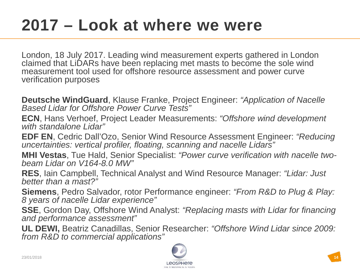### **2017 – Look at where we were**

London, 18 July 2017. Leading wind measurement experts gathered in London claimed that LiDARs have been replacing met masts to become the sole wind measurement tool used for offshore resource assessment and power curve verification purposes

**Deutsche WindGuard**, Klause Franke, Project Engineer: *"Application of Nacelle Based Lidar for Offshore Power Curve Tests"*

**ECN**, Hans Verhoef, Project Leader Measurements: *"Offshore wind development with standalone Lidar"*

**EDF EN**, Cedric Dall'Ozo, Senior Wind Resource Assessment Engineer: *"Reducing uncertainties: vertical profiler, floating, scanning and nacelle Lidars"*

**MHI Vestas**, Tue Hald, Senior Specialist: *"Power curve verification with nacelle two- beam Lidar on V164-8.0 MW"*

**RES**, Iain Campbell, Technical Analyst and Wind Resource Manager: *"Lidar: Just better than a mast?"*

**Siemens**, Pedro Salvador, rotor Performance engineer: *"From R&D to Plug & Play: 8 years of nacelle Lidar experience"*

**SSE**, Gordon Day, Offshore Wind Analyst: *"Replacing masts with Lidar for financing and performance assessment"*

**UL DEWI,** Beatriz Canadillas, Senior Researcher: *"Offshore Wind Lidar since 2009: from R&D to commercial applications"*

![](_page_13_Picture_10.jpeg)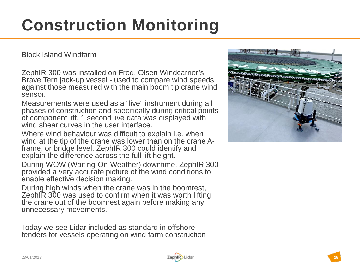## **Construction Monitoring**

Block Island Windfarm

ZephIR 300 was installed on Fred. Olsen Windcarrier's Brave Tern jack -up vessel - used to compare wind speeds against those measured with the main boom tip crane wind sensor.

Measurements were used as a "live" instrument during all phases of construction and specifically during critical points of component lift. 1 second live data was displayed with wind shear curves in the user interface.

Where wind behaviour was difficult to explain i.e. when wind at the tip of the crane was lower than on the crane Aframe, or bridge level, ZephIR 300 could identify and explain the difference across the full lift height.

During WOW (Waiting -On -Weather) downtime, ZephIR 300 provided a very accurate picture of the wind conditions to enable effective decision making.

During high winds when the crane was in the boomrest, ZephIR 300 was used to confirm when it was worth lifting the crane out of the boomrest again before making any unnecessary movements .

Today we see Lidar included as standard in offshore tenders for vessels operating on wind farm construction

![](_page_14_Picture_8.jpeg)

![](_page_14_Picture_10.jpeg)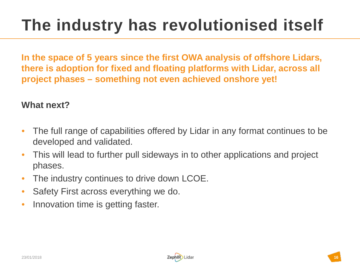## **The industry has revolutionised itself**

**In the space of 5 years since the first OWA analysis of offshore Lidars, there is adoption for fixed and floating platforms with Lidar, across all project phases – something not even achieved onshore yet!**

#### **What next?**

- The full range of capabilities offered by Lidar in any format continues to be developed and validated.
- This will lead to further pull sideways in to other applications and project phases.
- The industry continues to drive down LCOE.
- Safety First across everything we do.
- Innovation time is getting faster.

![](_page_15_Picture_8.jpeg)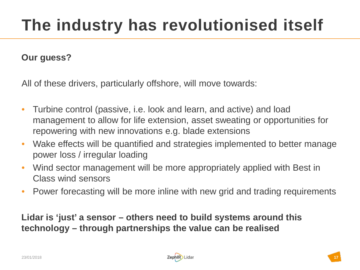#### **Our guess?**

All of these drivers, particularly offshore, will move towards:

- Turbine control (passive, i.e. look and learn, and active) and load management to allow for life extension, asset sweating or opportunities for repowering with new innovations e.g. blade extensions
- Wake effects will be quantified and strategies implemented to better manage power loss / irregular loading
- Wind sector management will be more appropriately applied with Best in Class wind sensors
- Power forecasting will be more inline with new grid and trading requirements

**Lidar is 'just' a sensor – others need to build systems around this technology – through partnerships the value can be realised** 

![](_page_16_Picture_9.jpeg)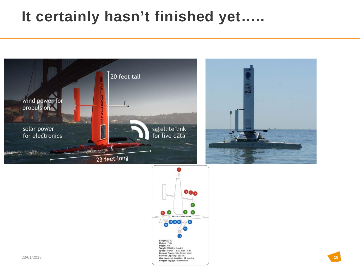#### **It certainly hasn't finished yet…..**

![](_page_17_Picture_1.jpeg)

![](_page_17_Figure_2.jpeg)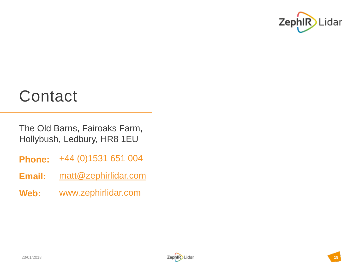![](_page_18_Picture_0.jpeg)

#### **Contact**

The Old Barns, Fairoaks Farm, Hollybush, Ledbury, HR8 1EU

- **Phone:** +44 (0)1531 651 004
- **Email:** [matt@zephirlidar.com](mailto:matt@zephirlidar.com)
- **Web:** www.zephirlidar.com